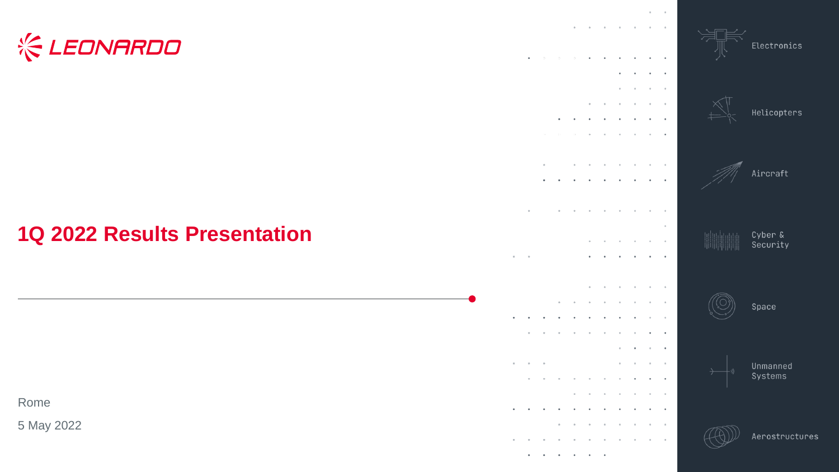# **KEONARDO**

### **1Q 2022 Results Presentation**

Rome

5 May 2022





Unmanned Systems

Space

Electronics

Helicopters

Aircraft

Cyber & Security



 $\bullet$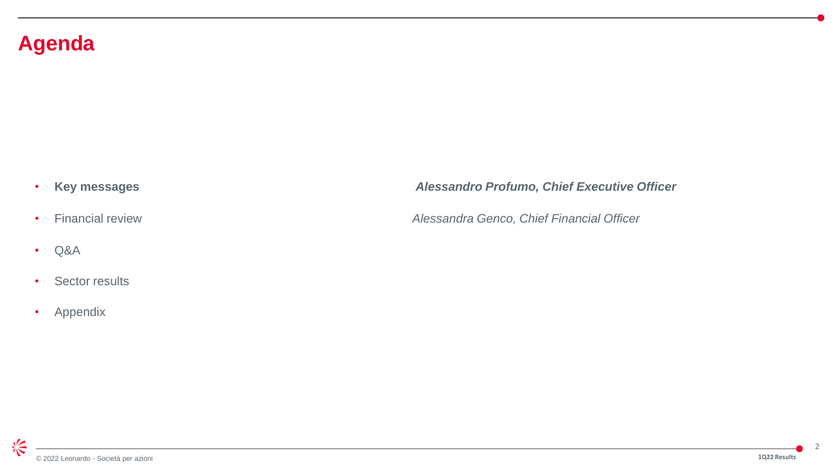### **Agenda**

- 
- Q&A
- Sector results
- Appendix

#### • **Key messages** *Alessandro Profumo, Chief Executive Officer*

• Financial review *Alessandra Genco, Chief Financial Officer*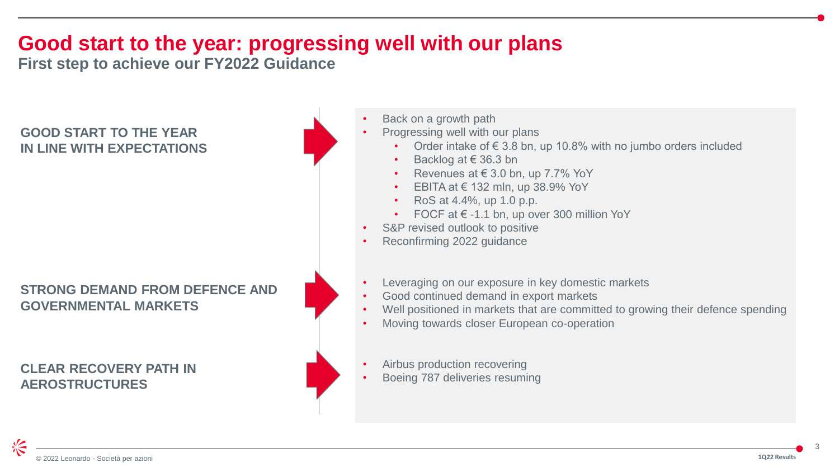## **Good start to the year: progressing well with our plans**

**First step to achieve our FY2022 Guidance**

#### **GOOD START TO THE YEAR IN LINE WITH EXPECTATIONS**

#### **STRONG DEMAND FROM DEFENCE AND GOVERNMENTAL MARKETS**

**CLEAR RECOVERY PATH IN AEROSTRUCTURES**

- Back on a growth path
- Progressing well with our plans
	- Order intake of  $\epsilon$  3.8 bn, up 10.8% with no jumbo orders included
	- Backlog at € 36.3 bn
	- Revenues at  $\in$  3.0 bn, up 7.7% YoY
	- EBITA at  $\in$  132 mln, up 38.9% YoY
	- RoS at 4.4%, up 1.0 p.p.
	- FOCF at  $\epsilon$  -1.1 bn, up over 300 million YoY
- S&P revised outlook to positive
- Reconfirming 2022 guidance
- Leveraging on our exposure in key domestic markets
- Good continued demand in export markets
- Well positioned in markets that are committed to growing their defence spending
- Moving towards closer European co-operation
- Airbus production recovering
- Boeing 787 deliveries resuming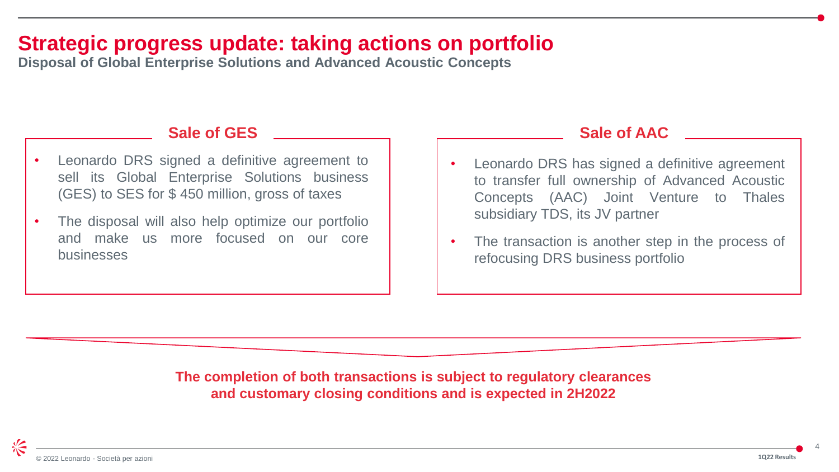### **Strategic progress update: taking actions on portfolio**

**Disposal of Global Enterprise Solutions and Advanced Acoustic Concepts**

#### **Sale of GES**

- Leonardo DRS signed a definitive agreement to sell its Global Enterprise Solutions business (GES) to SES for \$ 450 million, gross of taxes
- The disposal will also help optimize our portfolio and make us more focused on our core businesses

#### **Sale of AAC**

- Leonardo DRS has signed a definitive agreement to transfer full ownership of Advanced Acoustic Concepts (AAC) Joint Venture to Thales subsidiary TDS, its JV partner
- The transaction is another step in the process of refocusing DRS business portfolio

**The completion of both transactions is subject to regulatory clearances and customary closing conditions and is expected in 2H2022**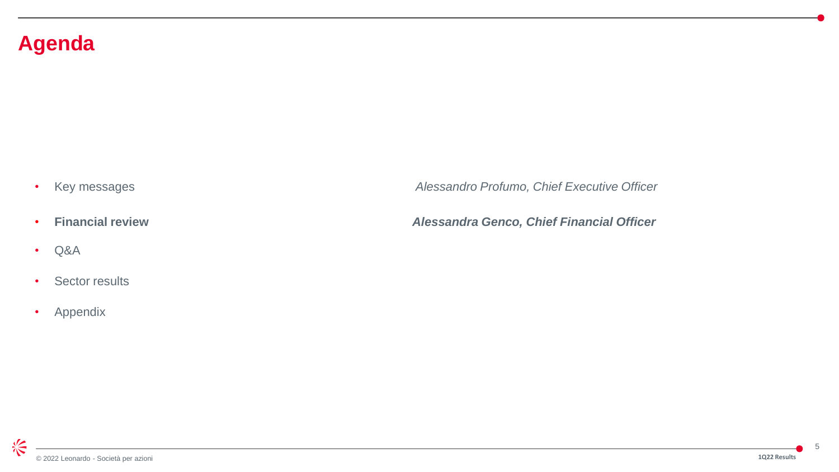### **Agenda**

- 
- Q&A
- Sector results
- Appendix

• Key messages *Alessandro Profumo, Chief Executive Officer*

• **Financial review** *Alessandra Genco, Chief Financial Officer*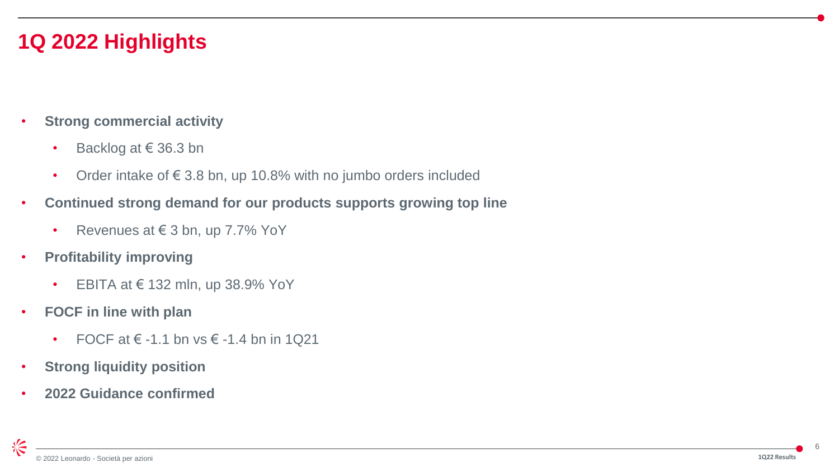## **1Q 2022 Highlights**

- **Strong commercial activity**
	- Backlog at € 36.3 bn
	- Order intake of  $\epsilon$  3.8 bn, up 10.8% with no jumbo orders included
- **Continued strong demand for our products supports growing top line**
	- Revenues at  $\in$  3 bn, up 7.7% YoY
- **Profitability improving**
	- EBITA at  $\in$  132 mln, up 38.9% YoY
- **FOCF in line with plan**
	- FOCF at  $\epsilon$  -1.1 bn vs  $\epsilon$  -1.4 bn in 1Q21
- **Strong liquidity position**
- **2022 Guidance confirmed**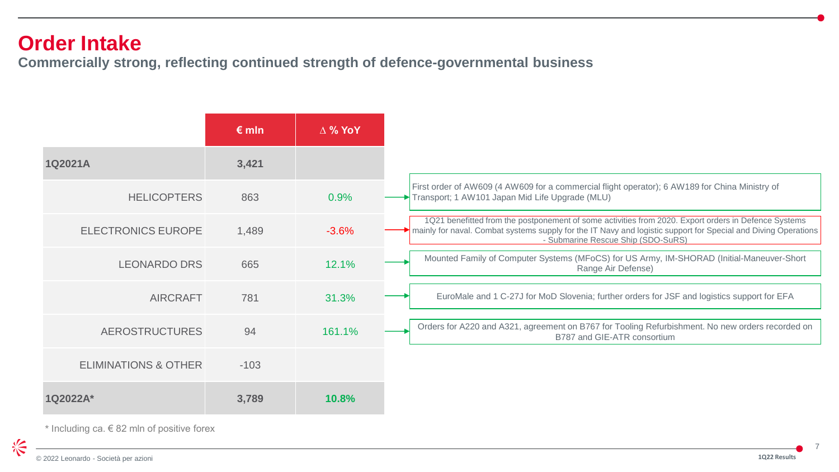#### **Order Intake**

**Commercially strong, reflecting continued strength of defence-governmental business**

|                                 | $\epsilon$ mln | $\Delta$ % YoY |
|---------------------------------|----------------|----------------|
| 1Q2021A                         | 3,421          |                |
| <b>HELICOPTERS</b>              | 863            | 0.9%           |
| <b>ELECTRONICS EUROPE</b>       | 1,489          | $-3.6%$        |
| <b>LEONARDO DRS</b>             | 665            | 12.1%          |
| <b>AIRCRAFT</b>                 | 781            | 31.3%          |
| <b>AEROSTRUCTURES</b>           | 94             | 161.1%         |
| <b>ELIMINATIONS &amp; OTHER</b> | $-103$         |                |
| $1Q2022A*$                      | 3,789          | <b>10.8%</b>   |

\* Including ca.  $\in$  82 mln of positive forex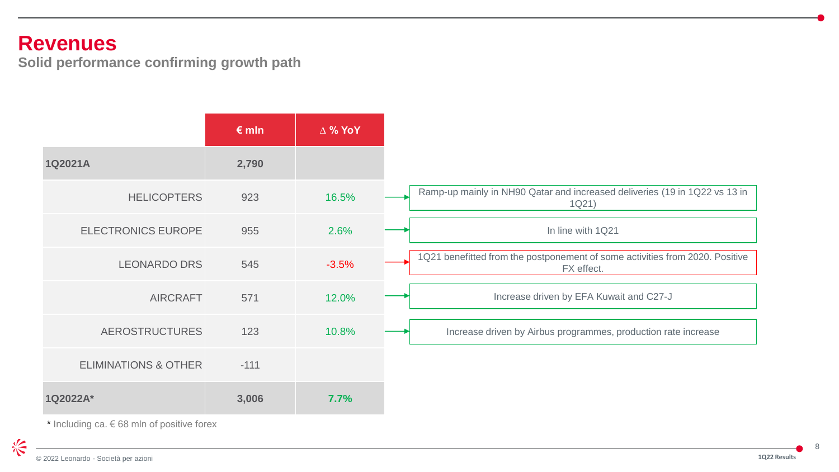#### **Revenues**

**Solid performance confirming growth path**

|                                 | $\epsilon$ mln | $\Delta$ % YoY |                                                                                            |
|---------------------------------|----------------|----------------|--------------------------------------------------------------------------------------------|
| 1Q2021A                         | 2,790          |                |                                                                                            |
| <b>HELICOPTERS</b>              | 923            | 16.5%          | Ramp-up mainly in NH90 Qatar and increased deliveries (19 in 1Q22 vs 13 in<br>1Q21)        |
| <b>ELECTRONICS EUROPE</b>       | 955            | 2.6%           | In line with 1Q21                                                                          |
| <b>LEONARDO DRS</b>             | 545            | $-3.5%$        | 1Q21 benefitted from the postponement of some activities from 2020. Positive<br>FX effect. |
| <b>AIRCRAFT</b>                 | 571            | 12.0%          | Increase driven by EFA Kuwait and C27-J                                                    |
| <b>AEROSTRUCTURES</b>           | 123            | 10.8%          | Increase driven by Airbus programmes, production rate increase                             |
| <b>ELIMINATIONS &amp; OTHER</b> | $-111$         |                |                                                                                            |
| 1Q2022A*                        | 3,006          | 7.7%           |                                                                                            |

 $*$  Including ca.  $\in$  68 mln of positive forex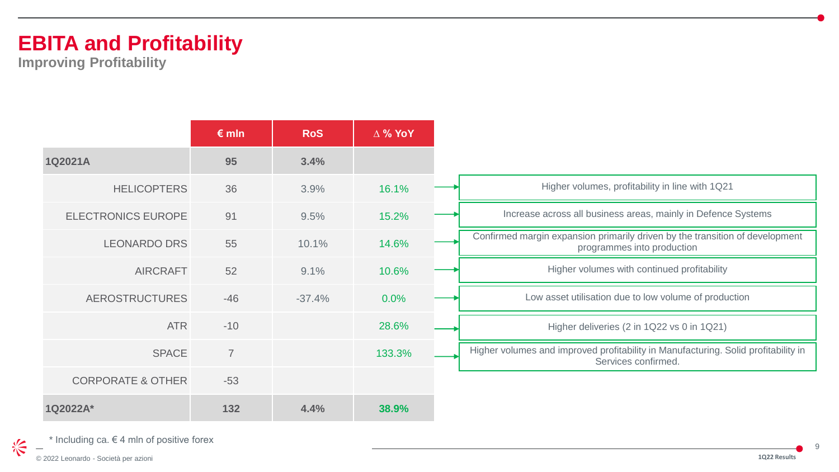## **EBITA and Profitability**

**Improving Profitability**

|                              | $\epsilon$ mln | <b>RoS</b> | $\Delta$ % YoY |                                                                                                            |
|------------------------------|----------------|------------|----------------|------------------------------------------------------------------------------------------------------------|
| 1Q2021A                      | 95             | 3.4%       |                |                                                                                                            |
| <b>HELICOPTERS</b>           | 36             | 3.9%       | 16.1%          | Higher volumes, profitability in line with 1Q21                                                            |
| <b>ELECTRONICS EUROPE</b>    | 91             | 9.5%       | 15.2%          | Increase across all business areas, mainly in Defence Systems                                              |
| <b>LEONARDO DRS</b>          | 55             | 10.1%      | 14.6%          | Confirmed margin expansion primarily driven by the transition of development<br>programmes into production |
| <b>AIRCRAFT</b>              | 52             | 9.1%       | 10.6%          | Higher volumes with continued profitability                                                                |
| <b>AEROSTRUCTURES</b>        | $-46$          | $-37.4%$   | 0.0%           | Low asset utilisation due to low volume of production                                                      |
| <b>ATR</b>                   | $-10$          |            | 28.6%          | Higher deliveries (2 in 1Q22 vs 0 in 1Q21)                                                                 |
| <b>SPACE</b>                 | $\overline{7}$ |            | 133.3%         | Higher volumes and improved profitability in Manufacturing. Solid profitability in<br>Services confirmed.  |
| <b>CORPORATE &amp; OTHER</b> | $-53$          |            |                |                                                                                                            |
| 1Q2022A*                     | 132            | 4.4%       | 38.9%          |                                                                                                            |

\* Including ca.  $\in$  4 mln of positive forex

© 2022 Leonardo - Società per azioni

冷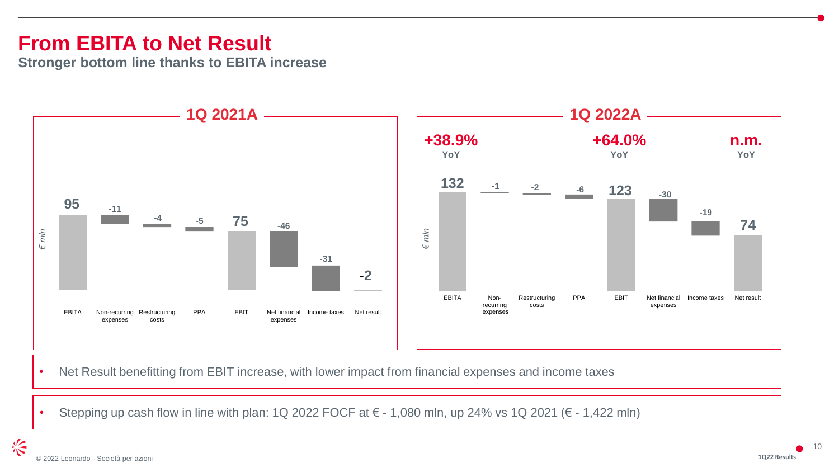### **From EBITA to Net Result**

**Stronger bottom line thanks to EBITA increase**



• Net Result benefitting from EBIT increase, with lower impact from financial expenses and income taxes

• Stepping up cash flow in line with plan: 1Q 2022 FOCF at  $\epsilon$  - 1,080 mln, up 24% vs 1Q 2021 ( $\epsilon$  - 1,422 mln)

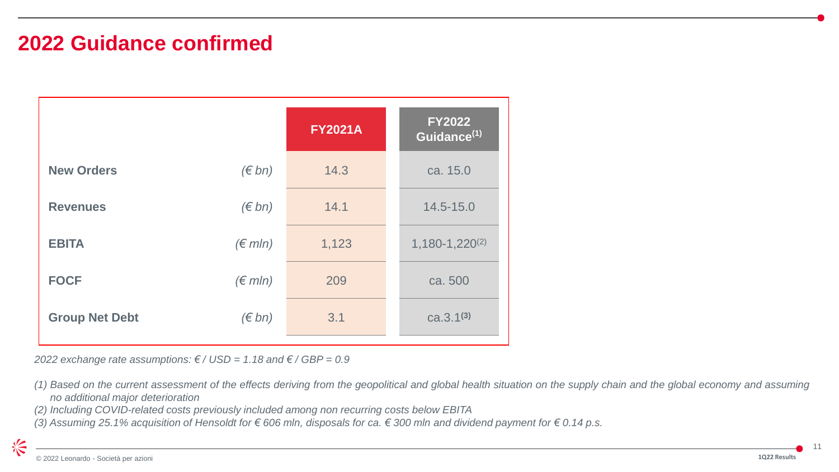### **2022 Guidance confirmed**

|                       |                  | <b>FY2021A</b> | <b>FY2022</b><br>Guidance <sup>(1)</sup> |
|-----------------------|------------------|----------------|------------------------------------------|
| <b>New Orders</b>     | $(\epsilon$ bn)  | 14.3           | ca. 15.0                                 |
| <b>Revenues</b>       | $(\epsilon$ bn)  | 14.1           | 14.5-15.0                                |
| <b>EBITA</b>          | $(\epsilon$ mln) | 1,123          | $1,180-1,220^{(2)}$                      |
| <b>FOCF</b>           | $(\epsilon$ mln) | 209            | ca. 500                                  |
| <b>Group Net Debt</b> | $(\epsilon$ bn)  | 3.1            | $ca.3.1^{(3)}$                           |

*2022 exchange rate assumptions: € / USD = 1.18 and € / GBP = 0.9*

- *(2) Including COVID-related costs previously included among non recurring costs below EBITA*
- (3) Assuming 25.1% acquisition of Hensoldt for € 606 mln, disposals for ca. € 300 mln and dividend payment for € 0.14 p.s.

治

<sup>(1)</sup> Based on the current assessment of the effects deriving from the geopolitical and global health situation on the supply chain and the global economy and assuming *no additional major deterioration*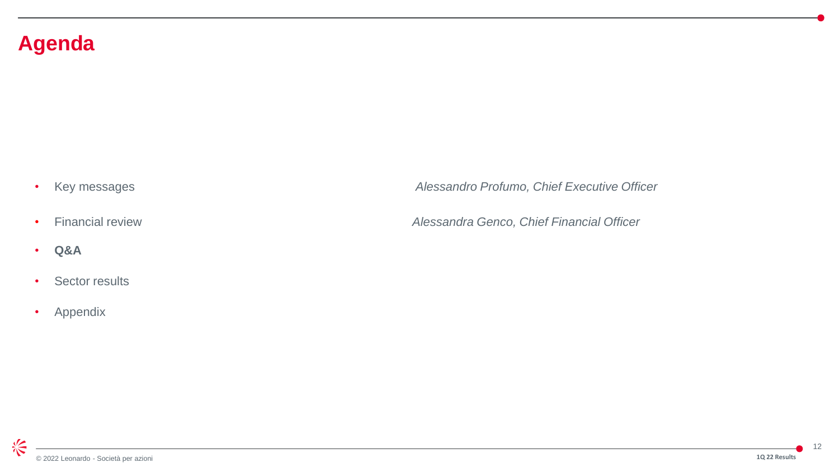### **Agenda**

- 
- **Q&A**
- Sector results
- Appendix

• Key messages *Alessandro Profumo, Chief Executive Officer*

• Financial review *Alessandra Genco, Chief Financial Officer*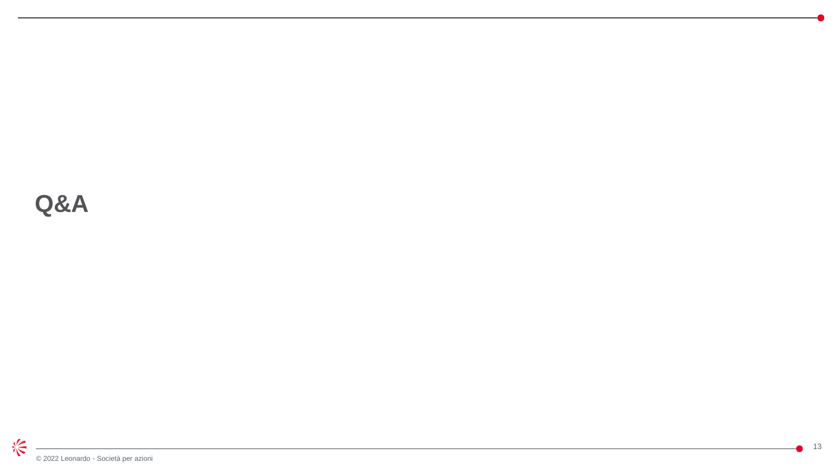**Q&A**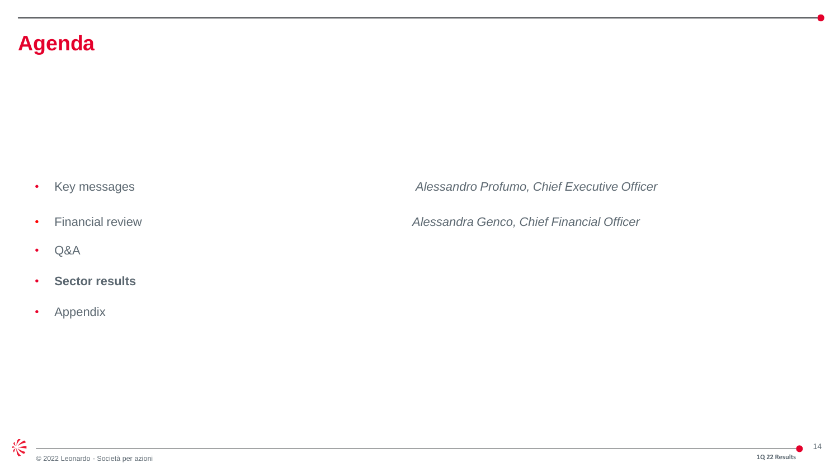### **Agenda**

- 
- Q&A
- **Sector results**
- Appendix

• Key messages *Alessandro Profumo, Chief Executive Officer*

• Financial review *Alessandra Genco, Chief Financial Officer*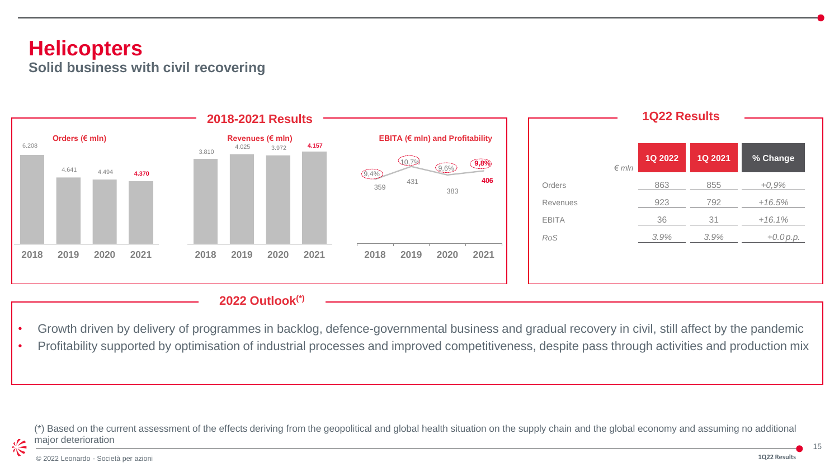#### **Helicopters Solid business with civil recovering**



#### **2022 Outlook(\*)**

- Growth driven by delivery of programmes in backlog, defence-governmental business and gradual recovery in civil, still affect by the pandemic
- Profitability supported by optimisation of industrial processes and improved competitiveness, despite pass through activities and production mix

(\*) Based on the current assessment of the effects deriving from the geopolitical and global health situation on the supply chain and the global economy and assuming no additional major deterioration

长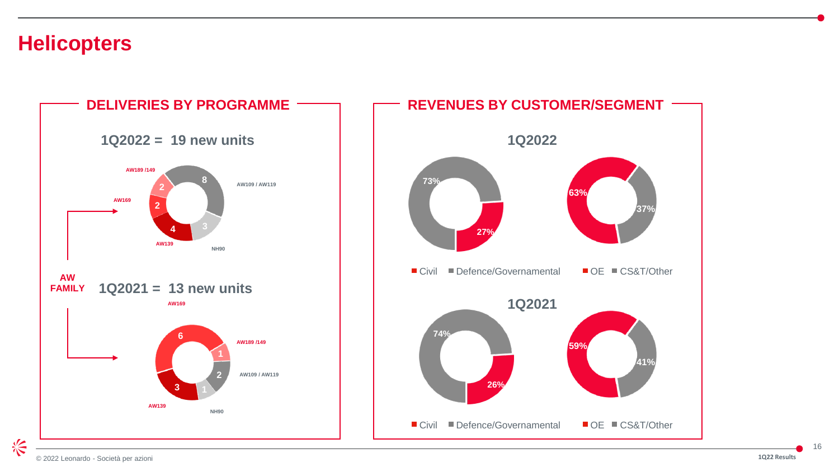#### **Helicopters**

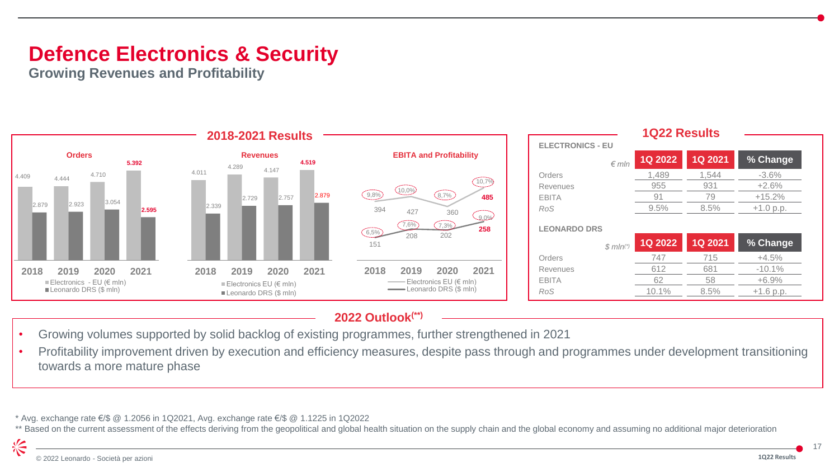### **Defence Electronics & Security**

**Growing Revenues and Profitability**



#### **2022 Outlook(\*\*)**

- Growing volumes supported by solid backlog of existing programmes, further strengthened in 2021
- Profitability improvement driven by execution and efficiency measures, despite pass through and programmes under development transitioning towards a more mature phase

\* Avg. exchange rate €/\$ @ 1.2056 in 1Q2021, Avg. exchange rate €/\$ @ 1.1225 in 1Q2022

\*\* Based on the current assessment of the effects deriving from the geopolitical and global health situation on the supply chain and the global economy and assuming no additional major deterioration

冷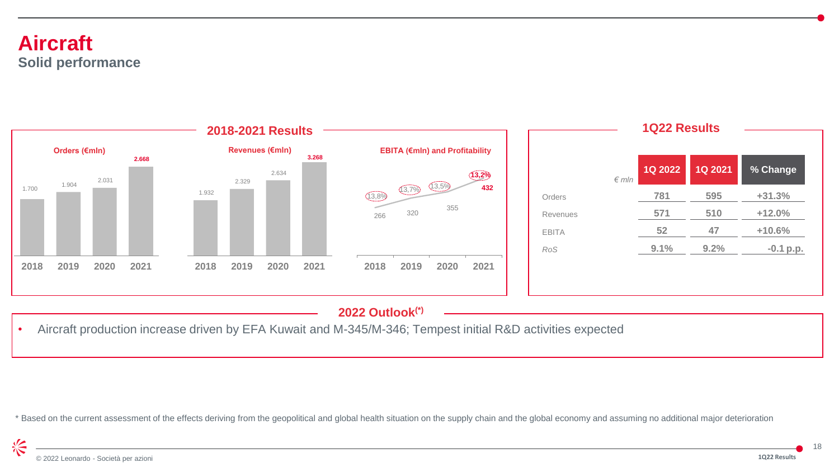#### **Aircraft Solid performance**



#### **2022 Outlook(\*)**

• Aircraft production increase driven by EFA Kuwait and M-345/M-346; Tempest initial R&D activities expected

\* Based on the current assessment of the effects deriving from the geopolitical and global health situation on the supply chain and the global economy and assuming no additional major deterioration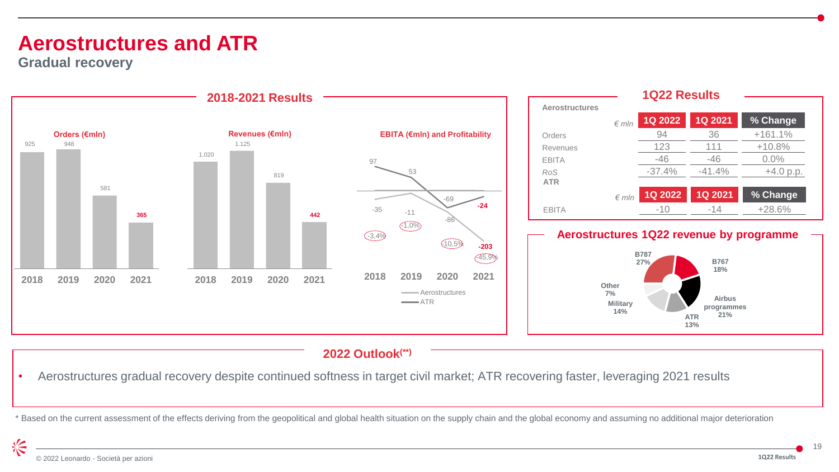### **Aerostructures and ATR**

**Gradual recovery**



#### **2022 Outlook(\*\*)**

• Aerostructures gradual recovery despite continued softness in target civil market; ATR recovering faster, leveraging 2021 results

\* Based on the current assessment of the effects deriving from the geopolitical and global health situation on the supply chain and the global economy and assuming no additional major deterioration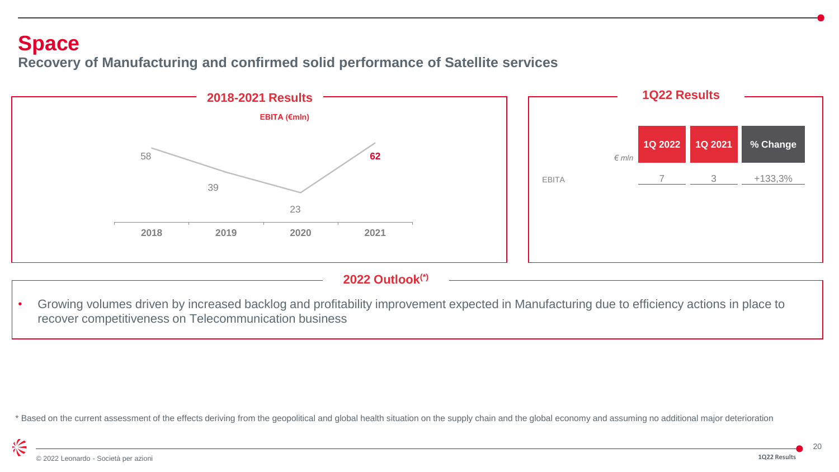#### **Space**

**Recovery of Manufacturing and confirmed solid performance of Satellite services** 



#### **2022 Outlook(\*)**

• Growing volumes driven by increased backlog and profitability improvement expected in Manufacturing due to efficiency actions in place to recover competitiveness on Telecommunication business

\* Based on the current assessment of the effects deriving from the geopolitical and global health situation on the supply chain and the global economy and assuming no additional major deterioration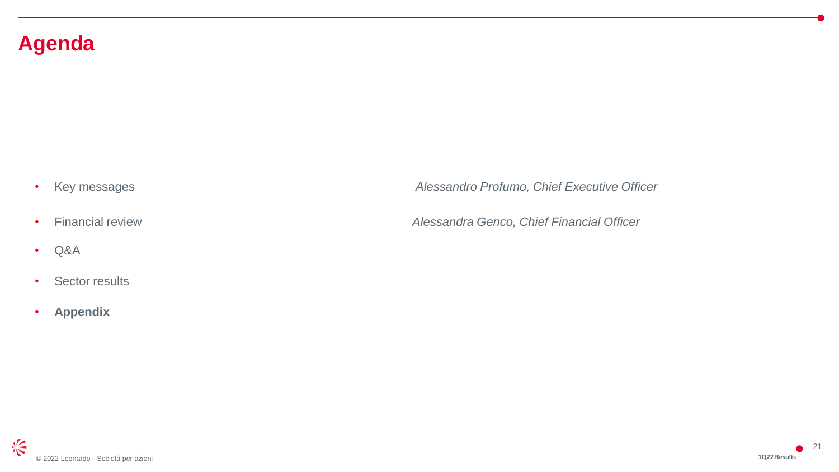### **Agenda**

- 
- Q&A
- Sector results
- **Appendix**

• Key messages *Alessandro Profumo, Chief Executive Officer*

• Financial review *Alessandra Genco, Chief Financial Officer*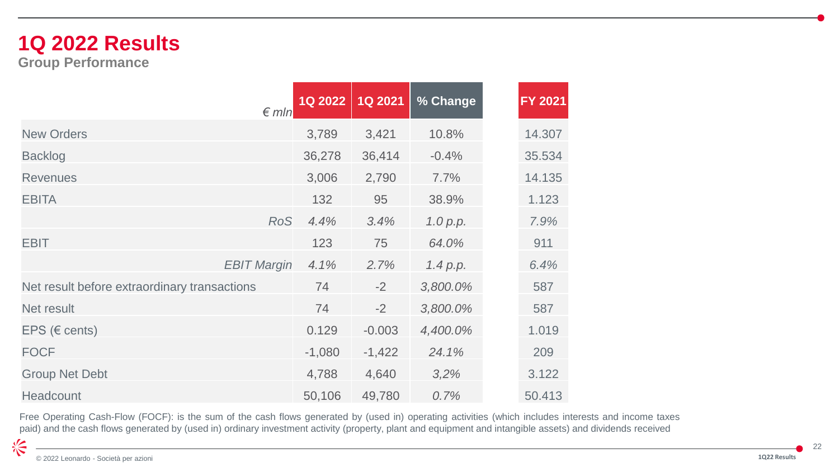## **1Q 2022 Results**

**Group Performance**

| $\n  f$ m/n                                  | <b>1Q 2022</b> | <b>1Q 2021</b> | % Change | FY 2021 |
|----------------------------------------------|----------------|----------------|----------|---------|
| <b>New Orders</b>                            | 3,789          | 3,421          | 10.8%    | 14.307  |
| <b>Backlog</b>                               | 36,278         | 36,414         | $-0.4%$  | 35.534  |
| <b>Revenues</b>                              | 3,006          | 2,790          | 7.7%     | 14.135  |
| <b>EBITA</b>                                 | 132            | 95             | 38.9%    | 1.123   |
| <b>RoS</b>                                   | 4.4%           | 3.4%           | 1.0 p.p. | 7.9%    |
| <b>EBIT</b>                                  | 123            | 75             | 64.0%    | 911     |
| <b>EBIT Margin</b>                           | 4.1%           | 2.7%           | 1.4 p.p. | 6.4%    |
| Net result before extraordinary transactions | 74             | $-2$           | 3,800.0% | 587     |
| Net result                                   | 74             | $-2$           | 3,800.0% | 587     |
| EPS ( $\in$ cents)                           | 0.129          | $-0.003$       | 4,400.0% | 1.019   |
| <b>FOCF</b>                                  | $-1,080$       | $-1,422$       | 24.1%    | 209     |
| <b>Group Net Debt</b>                        | 4,788          | 4,640          | 3,2%     | 3.122   |
| <b>Headcount</b>                             | 50,106         | 49,780         | 0.7%     | 50.413  |

Free Operating Cash-Flow (FOCF): is the sum of the cash flows generated by (used in) operating activities (which includes interests and income taxes paid) and the cash flows generated by (used in) ordinary investment activity (property, plant and equipment and intangible assets) and dividends received

冷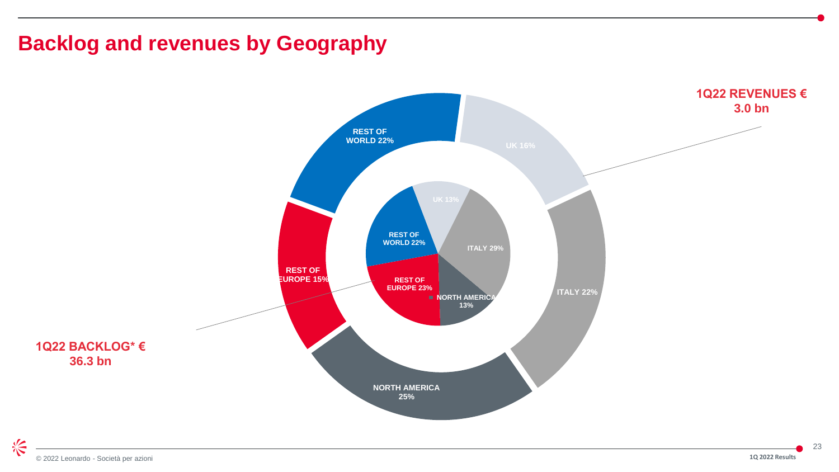### **Backlog and revenues by Geography**

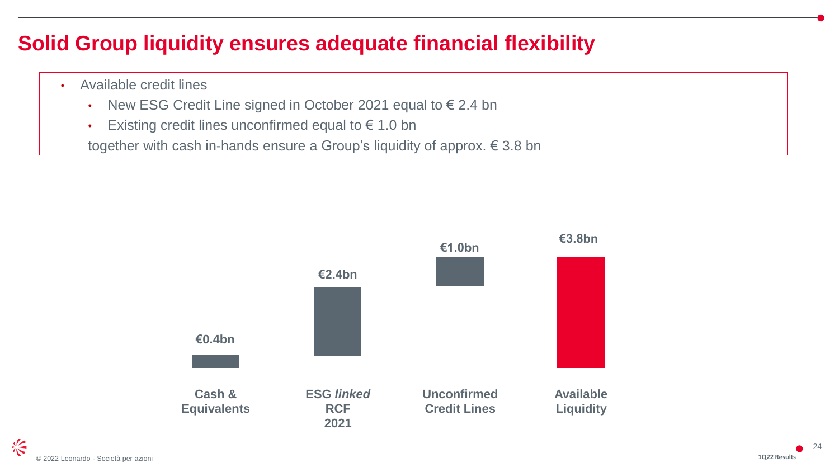### **Solid Group liquidity ensures adequate financial flexibility**

- Available credit lines
	- New ESG Credit Line signed in October 2021 equal to  $\epsilon$  2.4 bn
	- Existing credit lines unconfirmed equal to  $\epsilon$  1.0 bn

together with cash in-hands ensure a Group's liquidity of approx. € 3.8 bn

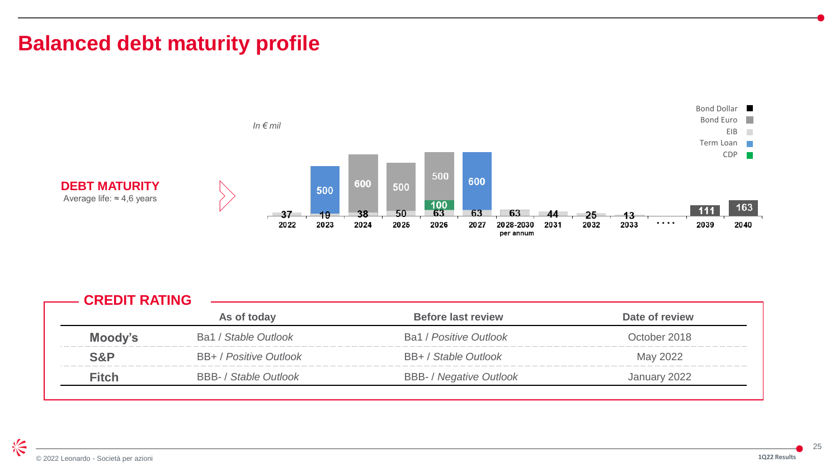### **Balanced debt maturity profile**



|              | As of today                  | <b>Before last review</b>      | Date of review |
|--------------|------------------------------|--------------------------------|----------------|
| Moody's      | Ba1 / Stable Outlook         | Ba1 / Positive Outlook         | October 2018   |
| S&P          | BB+ / Positive Outlook       | BB+ / Stable Outlook           | May 2022       |
| <b>Fitch</b> | <b>BBB-</b> / Stable Outlook | <b>BBB-</b> / Negative Outlook | January 2022   |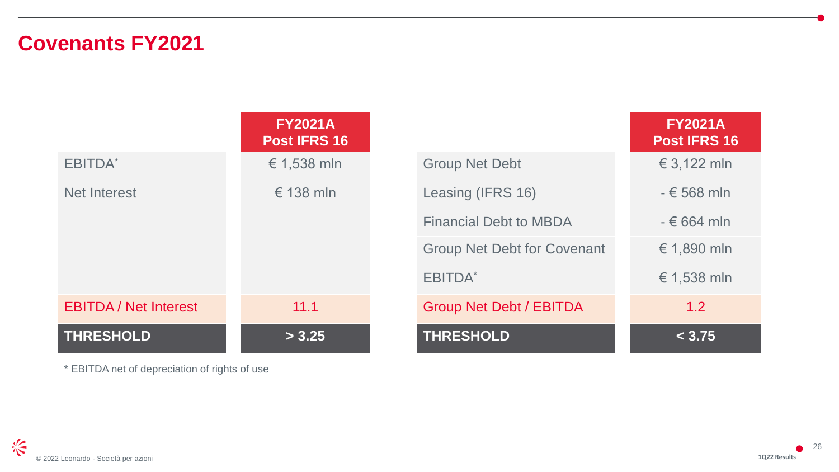### **Covenants FY2021**

|                              | <b>FY2021A</b><br>Post IFRS 16 |                                    | <b>FY2021A</b><br><b>Post IFRS 16</b> |
|------------------------------|--------------------------------|------------------------------------|---------------------------------------|
| EBITDA <sup>*</sup>          | € 1,538 mln                    | <b>Group Net Debt</b>              | € 3,122 mln                           |
| Net Interest                 | $\epsilon$ 138 mln             | Leasing (IFRS 16)                  | $-6568$ mln                           |
|                              |                                | <b>Financial Debt to MBDA</b>      | $-664$ mln                            |
|                              |                                | <b>Group Net Debt for Covenant</b> | € 1,890 mln                           |
|                              |                                | <b>EBITDA</b> *                    | € 1,538 mln                           |
| <b>EBITDA</b> / Net Interest | 11.1                           | <b>Group Net Debt / EBITDA</b>     | 1.2                                   |
| <b>THRESHOLD</b>             | > 3.25                         | <b>THRESHOLD</b>                   | < 3.75                                |

\* EBITDA net of depreciation of rights of use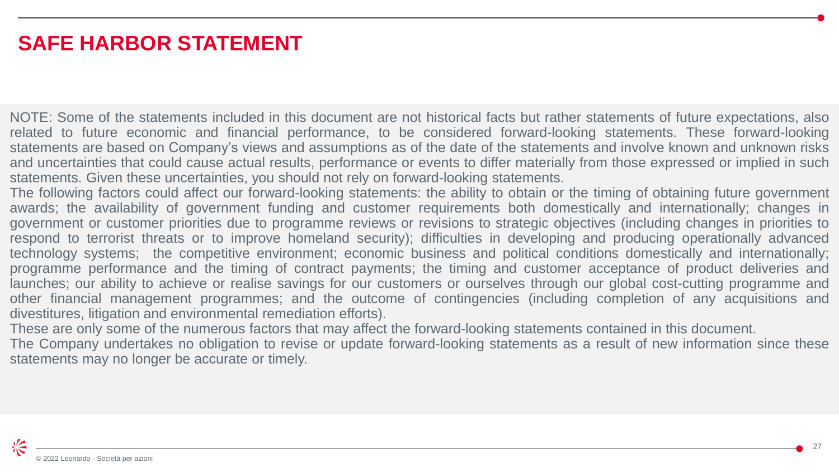### **SAFE HARBOR STATEMENT**

NOTE: Some of the statements included in this document are not historical facts but rather statements of future expectations, also related to future economic and financial performance, to be considered forward-looking statements. These forward-looking statements are based on Company's views and assumptions as of the date of the statements and involve known and unknown risks and uncertainties that could cause actual results, performance or events to differ materially from those expressed or implied in such statements. Given these uncertainties, you should not rely on forward-looking statements.

The following factors could affect our forward-looking statements: the ability to obtain or the timing of obtaining future government awards; the availability of government funding and customer requirements both domestically and internationally; changes in government or customer priorities due to programme reviews or revisions to strategic objectives (including changes in priorities to respond to terrorist threats or to improve homeland security); difficulties in developing and producing operationally advanced technology systems; the competitive environment; economic business and political conditions domestically and internationally; programme performance and the timing of contract payments; the timing and customer acceptance of product deliveries and launches; our ability to achieve or realise savings for our customers or ourselves through our global cost-cutting programme and other financial management programmes; and the outcome of contingencies (including completion of any acquisitions and divestitures, litigation and environmental remediation efforts).

These are only some of the numerous factors that may affect the forward-looking statements contained in this document.

The Company undertakes no obligation to revise or update forward-looking statements as a result of new information since these statements may no longer be accurate or timely.